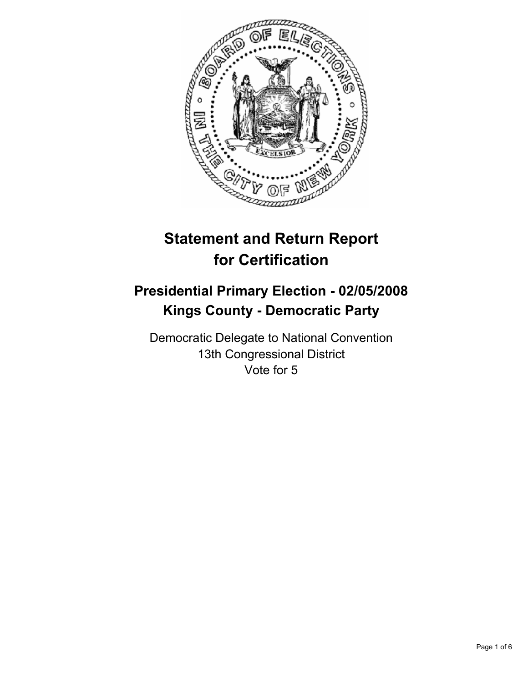

# **Statement and Return Report for Certification**

# **Presidential Primary Election - 02/05/2008 Kings County - Democratic Party**

Democratic Delegate to National Convention 13th Congressional District Vote for 5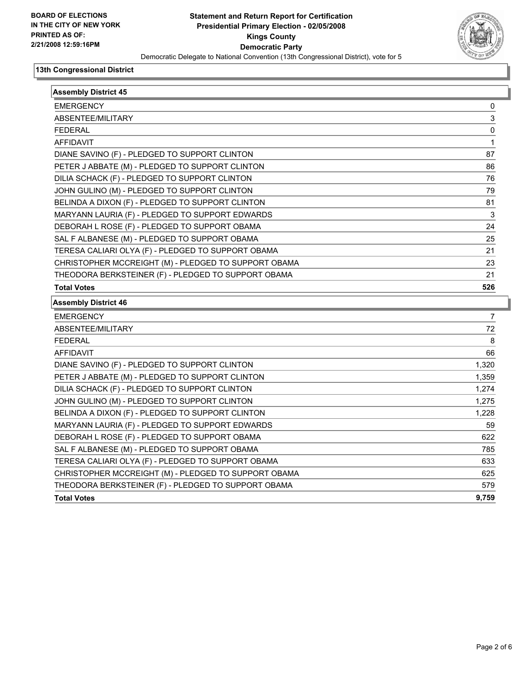

| <b>Assembly District 45</b>                          |              |
|------------------------------------------------------|--------------|
| <b>EMERGENCY</b>                                     | 0            |
| ABSENTEE/MILITARY                                    | 3            |
| <b>FEDERAL</b>                                       | 0            |
| <b>AFFIDAVIT</b>                                     | $\mathbf{1}$ |
| DIANE SAVINO (F) - PLEDGED TO SUPPORT CLINTON        | 87           |
| PETER J ABBATE (M) - PLEDGED TO SUPPORT CLINTON      | 86           |
| DILIA SCHACK (F) - PLEDGED TO SUPPORT CLINTON        | 76           |
| JOHN GULINO (M) - PLEDGED TO SUPPORT CLINTON         | 79           |
| BELINDA A DIXON (F) - PLEDGED TO SUPPORT CLINTON     | 81           |
| MARYANN LAURIA (F) - PLEDGED TO SUPPORT EDWARDS      | 3            |
| DEBORAH L ROSE (F) - PLEDGED TO SUPPORT OBAMA        | 24           |
| SAL F ALBANESE (M) - PLEDGED TO SUPPORT OBAMA        | 25           |
| TERESA CALIARI OLYA (F) - PLEDGED TO SUPPORT OBAMA   | 21           |
| CHRISTOPHER MCCREIGHT (M) - PLEDGED TO SUPPORT OBAMA | 23           |
| THEODORA BERKSTEINER (F) - PLEDGED TO SUPPORT OBAMA  | 21           |
| <b>Total Votes</b>                                   | 526          |
| <b>Assembly District 46</b>                          |              |
| <b>EMERGENCY</b>                                     | 7            |
| ABSENTEE/MILITARY                                    | 72           |
| <b>FEDERAL</b>                                       | 8            |
| <b>AFFIDAVIT</b>                                     | 66           |
| DIANE SAVINO (F) - PLEDGED TO SUPPORT CLINTON        | 1,320        |
| PETER J ABBATE (M) - PLEDGED TO SUPPORT CLINTON      | 1,359        |
| DILIA SCHACK (F) - PLEDGED TO SUPPORT CLINTON        | 1,274        |
| JOHN GULINO (M) - PLEDGED TO SUPPORT CLINTON         | 1,275        |
| BELINDA A DIXON (F) - PLEDGED TO SUPPORT CLINTON     | 1,228        |
| MARYANN LAURIA (F) - PLEDGED TO SUPPORT EDWARDS      | 59           |
| DEBORAH L ROSE (F) - PLEDGED TO SUPPORT OBAMA        | 622          |
| SAL F ALBANESE (M) - PLEDGED TO SUPPORT OBAMA        | 785          |
| TERESA CALIARI OLYA (F) - PLEDGED TO SUPPORT OBAMA   | 633          |
| CHRISTOPHER MCCREIGHT (M) - PLEDGED TO SUPPORT OBAMA | 625          |
| THEODORA BERKSTEINER (F) - PLEDGED TO SUPPORT OBAMA  | 579          |
| <b>Total Votes</b>                                   | 9.759        |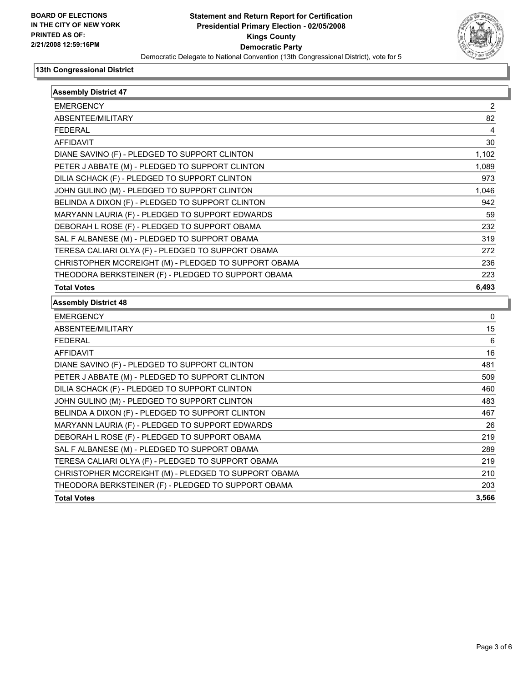

| <b>Assembly District 47</b>                          |       |
|------------------------------------------------------|-------|
| <b>EMERGENCY</b>                                     | 2     |
| ABSENTEE/MILITARY                                    | 82    |
| <b>FEDERAL</b>                                       | 4     |
| <b>AFFIDAVIT</b>                                     | 30    |
| DIANE SAVINO (F) - PLEDGED TO SUPPORT CLINTON        | 1,102 |
| PETER J ABBATE (M) - PLEDGED TO SUPPORT CLINTON      | 1,089 |
| DILIA SCHACK (F) - PLEDGED TO SUPPORT CLINTON        | 973   |
| JOHN GULINO (M) - PLEDGED TO SUPPORT CLINTON         | 1,046 |
| BELINDA A DIXON (F) - PLEDGED TO SUPPORT CLINTON     | 942   |
| MARYANN LAURIA (F) - PLEDGED TO SUPPORT EDWARDS      | 59    |
| DEBORAH L ROSE (F) - PLEDGED TO SUPPORT OBAMA        | 232   |
| SAL F ALBANESE (M) - PLEDGED TO SUPPORT OBAMA        | 319   |
| TERESA CALIARI OLYA (F) - PLEDGED TO SUPPORT OBAMA   | 272   |
| CHRISTOPHER MCCREIGHT (M) - PLEDGED TO SUPPORT OBAMA | 236   |
| THEODORA BERKSTEINER (F) - PLEDGED TO SUPPORT OBAMA  | 223   |
| <b>Total Votes</b>                                   | 6,493 |
| <b>Assembly District 48</b>                          |       |
| <b>EMERGENCY</b>                                     | 0     |
| ABSENTEE/MILITARY                                    | 15    |
| <b>FEDERAL</b>                                       | 6     |
| <b>AFFIDAVIT</b>                                     | 16    |
| DIANE SAVINO (F) - PLEDGED TO SUPPORT CLINTON        | 481   |
| PETER J ABBATE (M) - PLEDGED TO SUPPORT CLINTON      | 509   |
| DILIA SCHACK (F) - PLEDGED TO SUPPORT CLINTON        | 460   |
| JOHN GULINO (M) - PLEDGED TO SUPPORT CLINTON         | 483   |
| BELINDA A DIXON (F) - PLEDGED TO SUPPORT CLINTON     | 467   |
| MARYANN LAURIA (F) - PLEDGED TO SUPPORT EDWARDS      | 26    |
| DEBORAH L ROSE (F) - PLEDGED TO SUPPORT OBAMA        | 219   |
| SAL F ALBANESE (M) - PLEDGED TO SUPPORT OBAMA        | 289   |
| TERESA CALIARI OLYA (F) - PLEDGED TO SUPPORT OBAMA   | 219   |
| CHRISTOPHER MCCREIGHT (M) - PLEDGED TO SUPPORT OBAMA | 210   |
| THEODORA BERKSTEINER (F) - PLEDGED TO SUPPORT OBAMA  | 203   |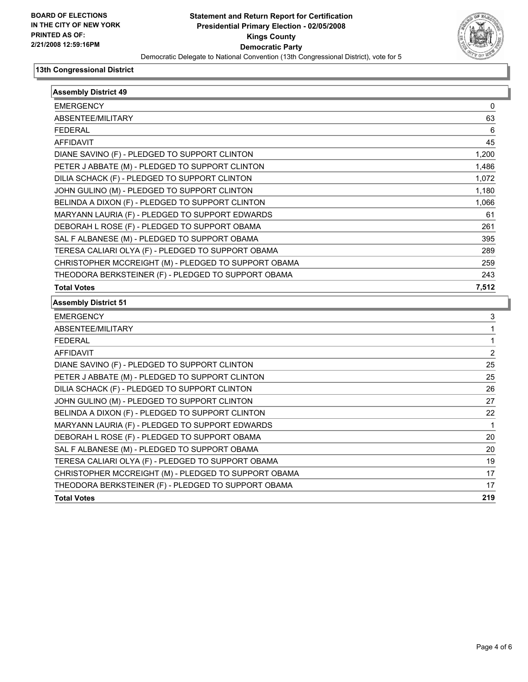

| <b>Assembly District 49</b>                          |              |
|------------------------------------------------------|--------------|
| <b>EMERGENCY</b>                                     | 0            |
| ABSENTEE/MILITARY                                    | 63           |
| <b>FEDERAL</b>                                       | 6            |
| <b>AFFIDAVIT</b>                                     | 45           |
| DIANE SAVINO (F) - PLEDGED TO SUPPORT CLINTON        | 1,200        |
| PETER J ABBATE (M) - PLEDGED TO SUPPORT CLINTON      | 1,486        |
| DILIA SCHACK (F) - PLEDGED TO SUPPORT CLINTON        | 1,072        |
| JOHN GULINO (M) - PLEDGED TO SUPPORT CLINTON         | 1,180        |
| BELINDA A DIXON (F) - PLEDGED TO SUPPORT CLINTON     | 1,066        |
| MARYANN LAURIA (F) - PLEDGED TO SUPPORT EDWARDS      | 61           |
| DEBORAH L ROSE (F) - PLEDGED TO SUPPORT OBAMA        | 261          |
| SAL F ALBANESE (M) - PLEDGED TO SUPPORT OBAMA        | 395          |
| TERESA CALIARI OLYA (F) - PLEDGED TO SUPPORT OBAMA   | 289          |
| CHRISTOPHER MCCREIGHT (M) - PLEDGED TO SUPPORT OBAMA | 259          |
| THEODORA BERKSTEINER (F) - PLEDGED TO SUPPORT OBAMA  | 243          |
| <b>Total Votes</b>                                   | 7,512        |
| <b>Assembly District 51</b>                          |              |
| <b>EMERGENCY</b>                                     | 3            |
| ABSENTEE/MILITARY                                    | $\mathbf{1}$ |
| <b>FEDERAL</b>                                       | $\mathbf{1}$ |
| <b>AFFIDAVIT</b>                                     | 2            |
| DIANE SAVINO (F) - PLEDGED TO SUPPORT CLINTON        | 25           |
| PETER J ABBATE (M) - PLEDGED TO SUPPORT CLINTON      | 25           |
| DILIA SCHACK (F) - PLEDGED TO SUPPORT CLINTON        | 26           |
| JOHN GULINO (M) - PLEDGED TO SUPPORT CLINTON         | 27           |
| BELINDA A DIXON (F) - PLEDGED TO SUPPORT CLINTON     | 22           |
| MARYANN LAURIA (F) - PLEDGED TO SUPPORT EDWARDS      | $\mathbf 1$  |
| DEBORAH L ROSE (F) - PLEDGED TO SUPPORT OBAMA        | 20           |
| SAL F ALBANESE (M) - PLEDGED TO SUPPORT OBAMA        | 20           |
| TERESA CALIARI OLYA (F) - PLEDGED TO SUPPORT OBAMA   | 19           |
| CHRISTOPHER MCCREIGHT (M) - PLEDGED TO SUPPORT OBAMA | 17           |
| THEODORA BERKSTEINER (F) - PLEDGED TO SUPPORT OBAMA  | 17           |
| <b>Total Votes</b>                                   | 219          |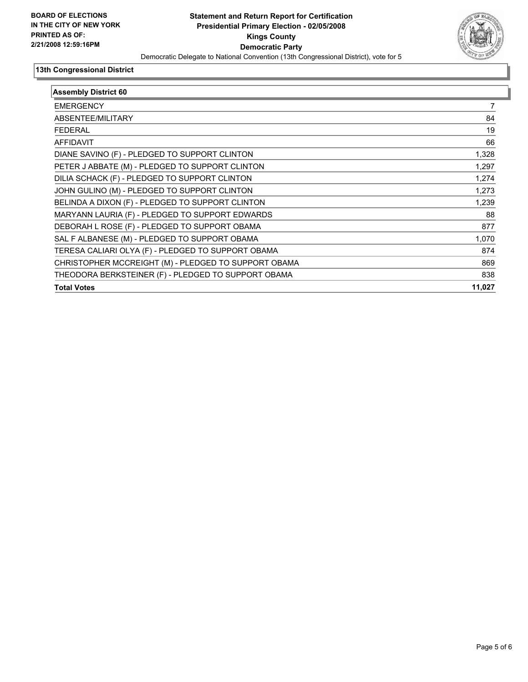

| <b>Assembly District 60</b> |  |
|-----------------------------|--|
|                             |  |
| 84                          |  |
| 19                          |  |
| 66                          |  |
| 1,328                       |  |
| 1,297                       |  |
| 1,274                       |  |
| 1,273                       |  |
| 1,239                       |  |
| 88                          |  |
| 877                         |  |
| 1,070                       |  |
| 874                         |  |
| 869                         |  |
| 838                         |  |
| 11,027                      |  |
|                             |  |